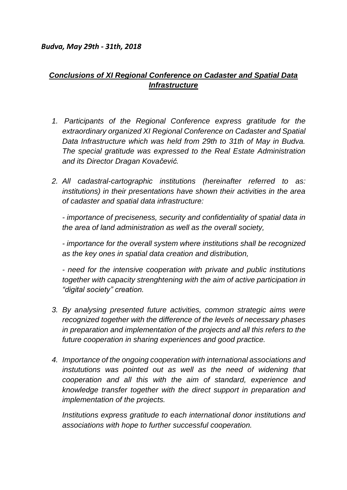## *Budva, May 29th - 31th, 2018*

## *Conclusions of XI Regional Conference on Cadaster and Spatial Data Infrastructure*

- *1. Participants of the Regional Conference express gratitude for the extraordinary organized XI Regional Conference on Cadaster and Spatial Data Infrastructure which was held from 29th to 31th of May in Budva. The special gratitude was expressed to the Real Estate Administration and its Director Dragan Kovačević.*
- *2. All cadastral-cartographic institutions (hereinafter referred to as: institutions) in their presentations have shown their activities in the area of cadaster and spatial data infrastructure:*

*- importance of preciseness, security and confidentiality of spatial data in the area of land administration as well as the overall society,*

*- importance for the overall system where institutions shall be recognized as the key ones in spatial data creation and distribution,*

*- need for the intensive cooperation with private and public institutions together with capacity strenghtening with the aim of active participation in "digital society" creation.*

- *3. By analysing presented future activities, common strategic aims were recognized together with the difference of the levels of necessary phases in preparation and implementation of the projects and all this refers to the future cooperation in sharing experiences and good practice.*
- *4. Importance of the ongoing cooperation with international associations and instututions was pointed out as well as the need of widening that cooperation and all this with the aim of standard, experience and knowledge transfer together with the direct support in preparation and implementation of the projects.*

*Institutions express gratitude to each international donor institutions and associations with hope to further successful cooperation.*